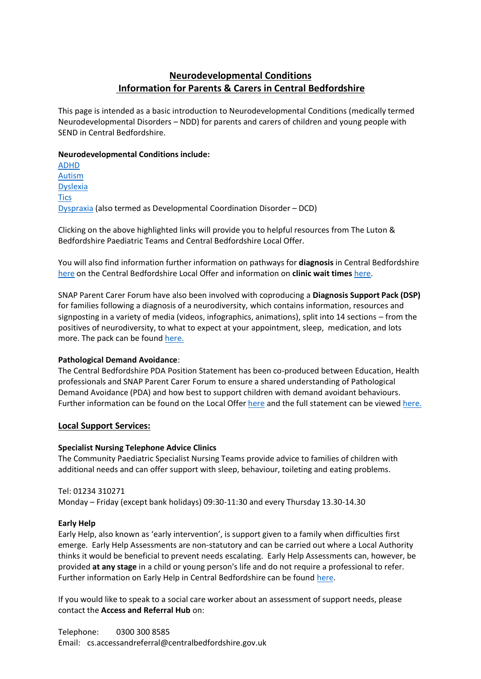# **Neurodevelopmental Conditions Information for Parents & Carers in Central Bedfordshire**

This page is intended as a basic introduction to Neurodevelopmental Conditions (medically termed Neurodevelopmental Disorders – NDD) for parents and carers of children and young people with SEND in Central Bedfordshire.

#### **Neurodevelopmental Conditions include:**

[ADHD](https://www.cambscommunityservices.nhs.uk/beds-luton-community-paediatrics/diagnosis-support-pack/adhd) [Autism](https://www.cambscommunityservices.nhs.uk/beds-luton-community-paediatrics/diagnosis-support-pack/autism) [Dyslexia](https://www.cambscommunityservices.nhs.uk/beds-luton-community-paediatrics/diagnosis-support-pack/dyslexia) **[Tics](https://www.cambscommunityservices.nhs.uk/beds-luton-community-paediatrics/diagnosis-support-pack/tics)** [Dyspraxia](https://localoffer.centralbedfordshire.gov.uk/kb5/centralbedfordshire/directory/service.page?id=f6lDwVphIms) (also termed as Developmental Coordination Disorder – DCD)

Clicking on the above highlighted links will provide you to helpful resources from The Luton & Bedfordshire Paediatric Teams and Central Bedfordshire Local Offer.

You will also find information further information on pathways for **diagnosis** in Central Bedfordshire [here](https://localoffer.centralbedfordshire.gov.uk/kb5/centralbedfordshire/directory/site.page?id=iqep0cbpHsM) on the Central Bedfordshire Local Offer and information on **clinic wait times** [here.](https://www.cambscommunityservices.nhs.uk/beds-luton-community-paediatrics/waiting-times-for-community-paediatric)

SNAP Parent Carer Forum have also been involved with coproducing a **Diagnosis Support Pack (DSP)**  for families following a diagnosis of a neurodiversity, which contains information, resources and signposting in a variety of media (videos, infographics, animations), split into 14 sections – from the positives of neurodiversity, to what to expect at your appointment, sleep, medication, and lots more. The pack can be found [here.](https://www.cambscommunityservices.nhs.uk/beds-luton-community-paediatrics/diagnosis-support-pack)

## **Pathological Demand Avoidance**:

The Central Bedfordshire PDA Position Statement has been co-produced between Education, Health professionals and SNAP Parent Carer Forum to ensure a shared understanding of Pathological Demand Avoidance (PDA) and how best to support children with demand avoidant behaviours. Further information can be found on the Local Offer [here](https://localoffer.centralbedfordshire.gov.uk/kb5/centralbedfordshire/directory/advice.page?id=YJC6YTd9HZY) and the full statement can be viewe[d here.](https://search3.openobjects.com/mediamanager/centralbedfordshire/directory/files/cbc_pda_positon_statement.pdf)

## **Local Support Services:**

## **Specialist Nursing Telephone Advice Clinics**

The Community Paediatric Specialist Nursing Teams provide advice to families of children with additional needs and can offer support with sleep, behaviour, toileting and eating problems.

Tel: 01234 310271 Monday – Friday (except bank holidays) 09:30-11:30 and every Thursday 13.30-14.30

#### **Early Help**

Early Help, also known as 'early intervention', is support given to a family when difficulties first emerge. Early Help Assessments are non-statutory and can be carried out where a Local Authority thinks it would be beneficial to prevent needs escalating. Early Help Assessments can, however, be provided **at any stage** in a child or young person's life and do not require a professional to refer. Further information on Early Help in Central Bedfordshire can be found [here.](https://localoffer.centralbedfordshire.gov.uk/kb5/centralbedfordshire/directory/localoffer.page?localofferchannel=4)

If you would like to speak to a social care worker about an assessment of support needs, please contact the **Access and Referral Hub** on: